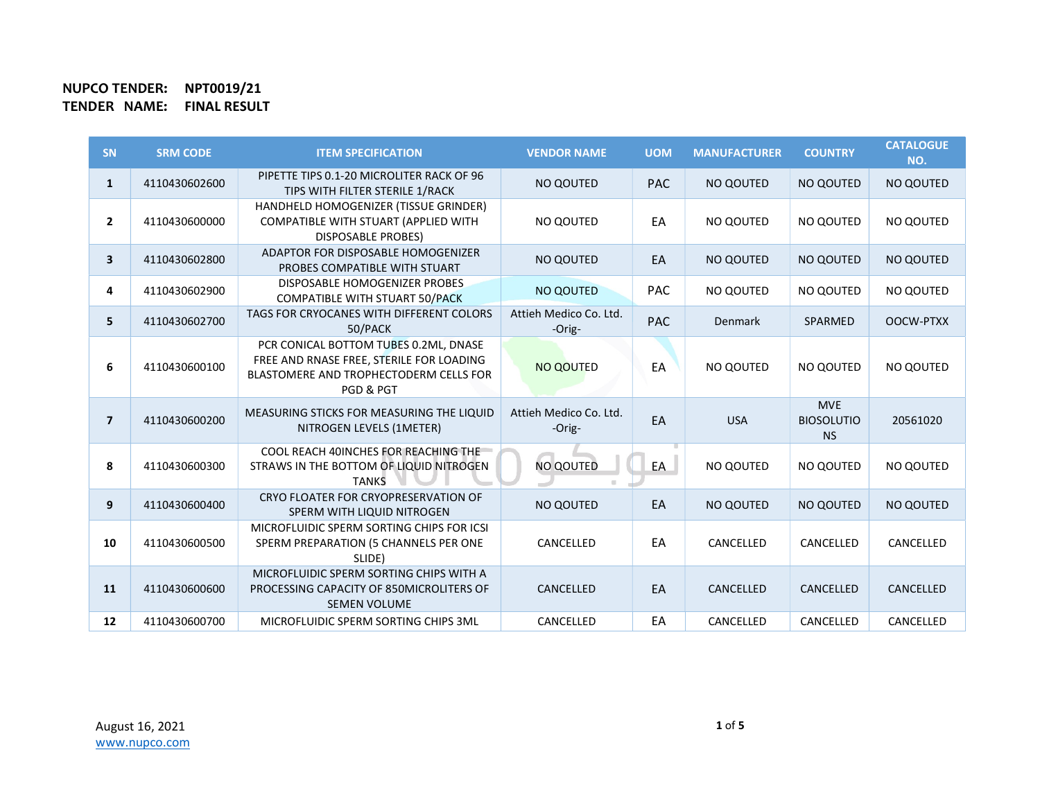| <b>SN</b>      | <b>SRM CODE</b> | <b>ITEM SPECIFICATION</b>                                                                                                                | <b>VENDOR NAME</b>               | <b>UOM</b> | <b>MANUFACTURER</b> | <b>COUNTRY</b>                               | <b>CATALOGUE</b><br>NO. |
|----------------|-----------------|------------------------------------------------------------------------------------------------------------------------------------------|----------------------------------|------------|---------------------|----------------------------------------------|-------------------------|
| $\mathbf{1}$   | 4110430602600   | PIPETTE TIPS 0.1-20 MICROLITER RACK OF 96<br>TIPS WITH FILTER STERILE 1/RACK                                                             | NO QOUTED                        | <b>PAC</b> | NO QOUTED           | NO QOUTED                                    | NO QOUTED               |
| $\mathbf{2}$   | 4110430600000   | HANDHELD HOMOGENIZER (TISSUE GRINDER)<br>COMPATIBLE WITH STUART (APPLIED WITH<br><b>DISPOSABLE PROBES)</b>                               | NO QOUTED                        | EA         | NO OOUTED           | NO QOUTED                                    | NO QOUTED               |
| $\mathbf{3}$   | 4110430602800   | ADAPTOR FOR DISPOSABLE HOMOGENIZER<br>PROBES COMPATIBLE WITH STUART                                                                      | NO QOUTED                        | EA         | NO QOUTED           | NO QOUTED                                    | <b>NO QOUTED</b>        |
| 4              | 4110430602900   | DISPOSABLE HOMOGENIZER PROBES<br><b>COMPATIBLE WITH STUART 50/PACK</b>                                                                   | <b>NO QOUTED</b>                 | <b>PAC</b> | NO QOUTED           | NO QOUTED                                    | NO QOUTED               |
| 5              | 4110430602700   | TAGS FOR CRYOCANES WITH DIFFERENT COLORS<br>50/PACK                                                                                      | Attieh Medico Co. Ltd.<br>-Orig- | <b>PAC</b> | <b>Denmark</b>      | SPARMED                                      | OOCW-PTXX               |
| 6              | 4110430600100   | PCR CONICAL BOTTOM TUBES 0.2ML, DNASE<br>FREE AND RNASE FREE, STERILE FOR LOADING<br>BLASTOMERE AND TROPHECTODERM CELLS FOR<br>PGD & PGT | <b>NO QOUTED</b>                 | EA         | NO QOUTED           | NO QOUTED                                    | NO QOUTED               |
| $\overline{7}$ | 4110430600200   | MEASURING STICKS FOR MEASURING THE LIQUID<br>NITROGEN LEVELS (1METER)                                                                    | Attieh Medico Co. Ltd.<br>-Orig- | EA         | <b>USA</b>          | <b>MVE</b><br><b>BIOSOLUTIO</b><br><b>NS</b> | 20561020                |
| 8              | 4110430600300   | COOL REACH 40INCHES FOR REACHING THE<br>STRAWS IN THE BOTTOM OF LIQUID NITROGEN<br><b>TANKS</b>                                          | <b>NO QOUTED</b>                 | EA         | NO QOUTED           | NO QOUTED                                    | NO QOUTED               |
| 9              | 4110430600400   | CRYO FLOATER FOR CRYOPRESERVATION OF<br>SPERM WITH LIQUID NITROGEN                                                                       | <b>NO QOUTED</b>                 | EA         | NO QOUTED           | NO QOUTED                                    | <b>NO QOUTED</b>        |
| 10             | 4110430600500   | MICROFLUIDIC SPERM SORTING CHIPS FOR ICSI<br>SPERM PREPARATION (5 CHANNELS PER ONE<br>SLIDE)                                             | CANCELLED                        | EA         | CANCELLED           | CANCELLED                                    | CANCELLED               |
| 11             | 4110430600600   | MICROFLUIDIC SPERM SORTING CHIPS WITH A<br>PROCESSING CAPACITY OF 850MICROLITERS OF<br><b>SEMEN VOLUME</b>                               | CANCELLED                        | EA         | CANCELLED           | CANCELLED                                    | CANCELLED               |
| 12             | 4110430600700   | MICROFLUIDIC SPERM SORTING CHIPS 3ML                                                                                                     | CANCELLED                        | EA         | CANCELLED           | CANCELLED                                    | CANCELLED               |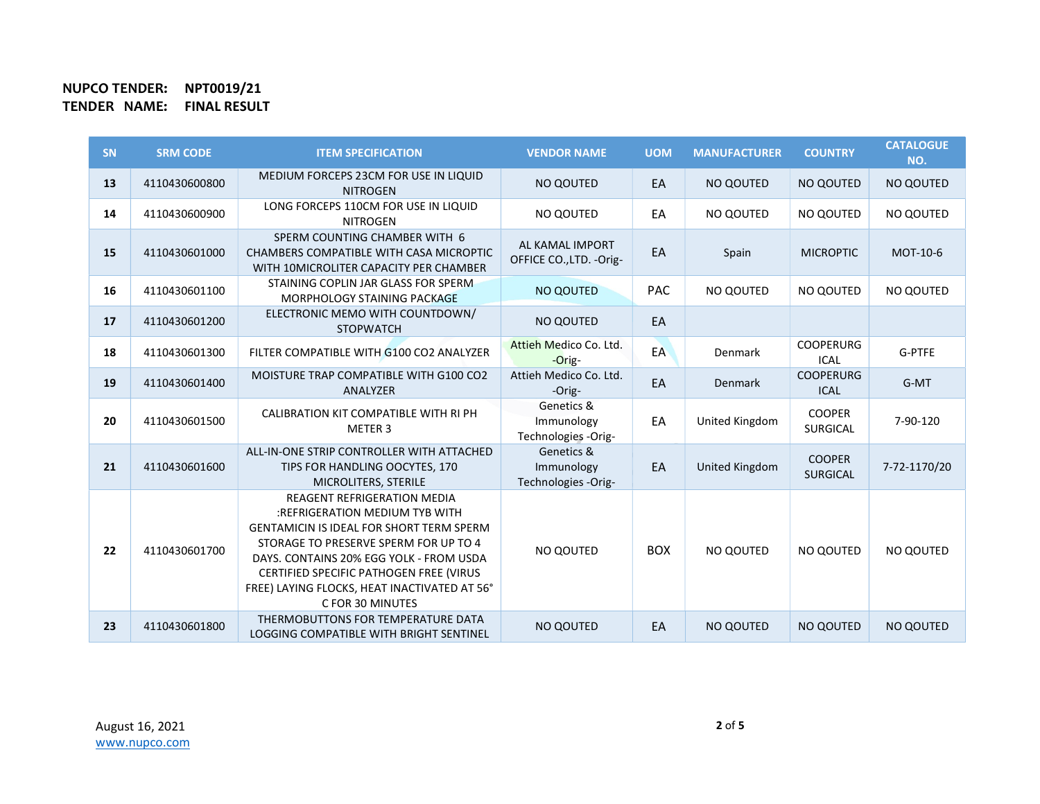| <b>SN</b> | <b>SRM CODE</b> | <b>ITEM SPECIFICATION</b>                                                                                                                                                                                                                                                                                                  | <b>VENDOR NAME</b>                              | <b>UOM</b> | <b>MANUFACTURER</b> | <b>COUNTRY</b>                   | <b>CATALOGUE</b><br>NO. |
|-----------|-----------------|----------------------------------------------------------------------------------------------------------------------------------------------------------------------------------------------------------------------------------------------------------------------------------------------------------------------------|-------------------------------------------------|------------|---------------------|----------------------------------|-------------------------|
| 13        | 4110430600800   | MEDIUM FORCEPS 23CM FOR USE IN LIQUID<br><b>NITROGEN</b>                                                                                                                                                                                                                                                                   | NO QOUTED                                       | EA         | NO QOUTED           | NO QOUTED                        | NO QOUTED               |
| 14        | 4110430600900   | LONG FORCEPS 110CM FOR USE IN LIQUID<br><b>NITROGEN</b>                                                                                                                                                                                                                                                                    | NO QOUTED                                       | EA         | NO QOUTED           | NO QOUTED                        | NO QOUTED               |
| 15        | 4110430601000   | SPERM COUNTING CHAMBER WITH 6<br>CHAMBERS COMPATIBLE WITH CASA MICROPTIC<br>WITH 10MICROLITER CAPACITY PER CHAMBER                                                                                                                                                                                                         | AL KAMAL IMPORT<br>OFFICE CO., LTD. - Orig-     | EA         | Spain               | <b>MICROPTIC</b>                 | MOT-10-6                |
| 16        | 4110430601100   | STAINING COPLIN JAR GLASS FOR SPERM<br>MORPHOLOGY STAINING PACKAGE                                                                                                                                                                                                                                                         | NO QOUTED                                       | <b>PAC</b> | NO QOUTED           | NO QOUTED                        | NO QOUTED               |
| 17        | 4110430601200   | ELECTRONIC MEMO WITH COUNTDOWN/<br><b>STOPWATCH</b>                                                                                                                                                                                                                                                                        | <b>NO QOUTED</b>                                | EA         |                     |                                  |                         |
| 18        | 4110430601300   | FILTER COMPATIBLE WITH G100 CO2 ANALYZER                                                                                                                                                                                                                                                                                   | Attieh Medico Co. Ltd.<br>$-Orig-$              | EA         | Denmark             | <b>COOPERURG</b><br><b>ICAL</b>  | G-PTFE                  |
| 19        | 4110430601400   | MOISTURE TRAP COMPATIBLE WITH G100 CO2<br>ANALYZER                                                                                                                                                                                                                                                                         | Attieh Medico Co. Ltd.<br>-Orig-                | EA         | <b>Denmark</b>      | <b>COOPERURG</b><br><b>ICAL</b>  | G-MT                    |
| 20        | 4110430601500   | CALIBRATION KIT COMPATIBLE WITH RI PH<br>METER 3                                                                                                                                                                                                                                                                           | Genetics &<br>Immunology<br>Technologies -Orig- | EA         | United Kingdom      | <b>COOPER</b><br><b>SURGICAL</b> | 7-90-120                |
| 21        | 4110430601600   | ALL-IN-ONE STRIP CONTROLLER WITH ATTACHED<br>TIPS FOR HANDLING OOCYTES, 170<br>MICROLITERS, STERILE                                                                                                                                                                                                                        | Genetics &<br>Immunology<br>Technologies -Orig- | EA         | United Kingdom      | <b>COOPER</b><br><b>SURGICAL</b> | 7-72-1170/20            |
| 22        | 4110430601700   | <b>REAGENT REFRIGERATION MEDIA</b><br>:REFRIGERATION MEDIUM TYB WITH<br><b>GENTAMICIN IS IDEAL FOR SHORT TERM SPERM</b><br>STORAGE TO PRESERVE SPERM FOR UP TO 4<br>DAYS, CONTAINS 20% EGG YOLK - FROM USDA<br>CERTIFIED SPECIFIC PATHOGEN FREE (VIRUS<br>FREE) LAYING FLOCKS, HEAT INACTIVATED AT 56°<br>C FOR 30 MINUTES | NO QOUTED                                       | <b>BOX</b> | NO QOUTED           | NO QOUTED                        | NO QOUTED               |
| 23        | 4110430601800   | THERMOBUTTONS FOR TEMPERATURE DATA<br>LOGGING COMPATIBLE WITH BRIGHT SENTINEL                                                                                                                                                                                                                                              | NO QOUTED                                       | EA         | <b>NO QOUTED</b>    | NO QOUTED                        | <b>NO QOUTED</b>        |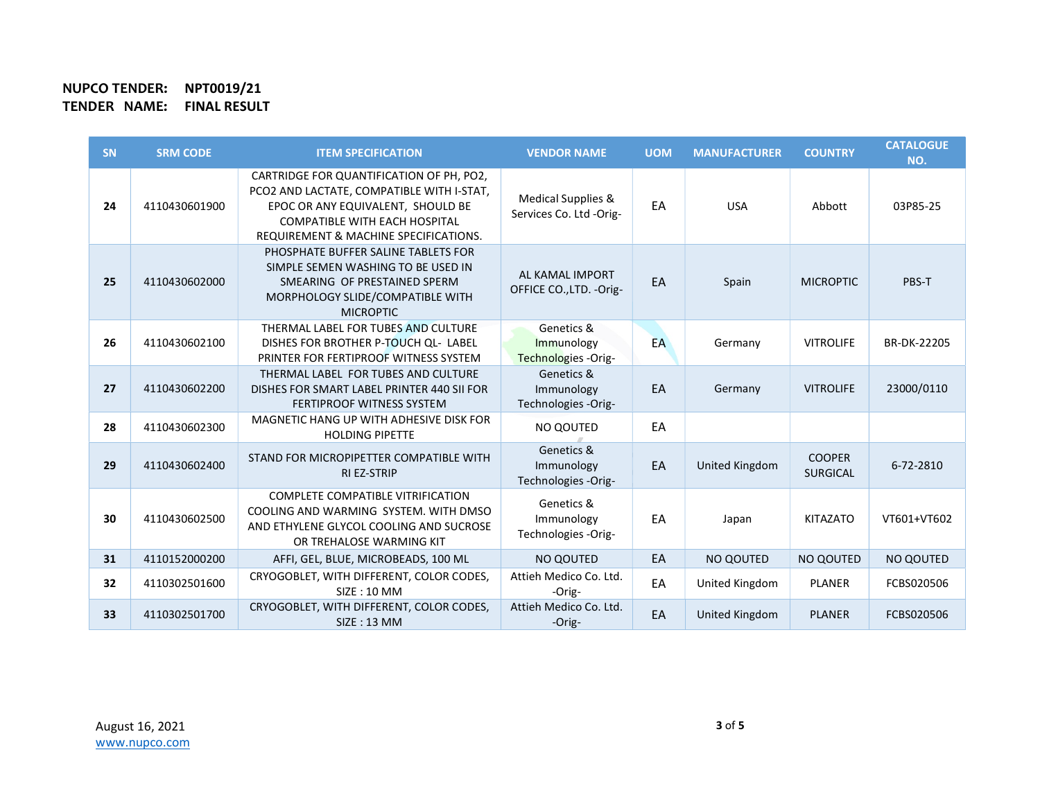| <b>SN</b> | <b>SRM CODE</b> | <b>ITEM SPECIFICATION</b>                                                                                                                                                                                   | <b>VENDOR NAME</b>                               | <b>UOM</b> | <b>MANUFACTURER</b> | <b>COUNTRY</b>                   | <b>CATALOGUE</b><br>NO. |
|-----------|-----------------|-------------------------------------------------------------------------------------------------------------------------------------------------------------------------------------------------------------|--------------------------------------------------|------------|---------------------|----------------------------------|-------------------------|
| 24        | 4110430601900   | CARTRIDGE FOR QUANTIFICATION OF PH, PO2,<br>PCO2 AND LACTATE, COMPATIBLE WITH I-STAT,<br>EPOC OR ANY EQUIVALENT, SHOULD BE<br><b>COMPATIBLE WITH EACH HOSPITAL</b><br>REQUIREMENT & MACHINE SPECIFICATIONS. | Medical Supplies &<br>Services Co. Ltd -Orig-    | EA         | <b>USA</b>          | Abbott                           | 03P85-25                |
| 25        | 4110430602000   | PHOSPHATE BUFFER SALINE TABLETS FOR<br>SIMPLE SEMEN WASHING TO BE USED IN<br>SMEARING OF PRESTAINED SPERM<br>MORPHOLOGY SLIDE/COMPATIBLE WITH<br><b>MICROPTIC</b>                                           | AL KAMAL IMPORT<br>OFFICE CO., LTD. - Orig-      | EA         | Spain               | <b>MICROPTIC</b>                 | PBS-T                   |
| 26        | 4110430602100   | THERMAL LABEL FOR TUBES AND CULTURE<br>DISHES FOR BROTHER P-TOUCH QL- LABEL<br>PRINTER FOR FERTIPROOF WITNESS SYSTEM                                                                                        | Genetics &<br>Immunology<br>Technologies - Orig- | EA         | Germany             | <b>VITROLIFE</b>                 | BR-DK-22205             |
| 27        | 4110430602200   | THERMAL LABEL FOR TUBES AND CULTURE<br>DISHES FOR SMART LABEL PRINTER 440 SII FOR<br><b>FERTIPROOF WITNESS SYSTEM</b>                                                                                       | Genetics &<br>Immunology<br>Technologies -Orig-  | EA         | Germany             | <b>VITROLIFE</b>                 | 23000/0110              |
| 28        | 4110430602300   | MAGNETIC HANG UP WITH ADHESIVE DISK FOR<br><b>HOLDING PIPETTE</b>                                                                                                                                           | NO QOUTED                                        | EA         |                     |                                  |                         |
| 29        | 4110430602400   | STAND FOR MICROPIPETTER COMPATIBLE WITH<br><b>RI EZ-STRIP</b>                                                                                                                                               | Genetics &<br>Immunology<br>Technologies -Orig-  | EA         | United Kingdom      | <b>COOPER</b><br><b>SURGICAL</b> | 6-72-2810               |
| 30        | 4110430602500   | <b>COMPLETE COMPATIBLE VITRIFICATION</b><br>COOLING AND WARMING SYSTEM. WITH DMSO<br>AND ETHYLENE GLYCOL COOLING AND SUCROSE<br>OR TREHALOSE WARMING KIT                                                    | Genetics &<br>Immunology<br>Technologies -Orig-  | EA         | Japan               | <b>KITAZATO</b>                  | VT601+VT602             |
| 31        | 4110152000200   | AFFI, GEL, BLUE, MICROBEADS, 100 ML                                                                                                                                                                         | NO QOUTED                                        | EA         | NO QOUTED           | NO QOUTED                        | NO QOUTED               |
| 32        | 4110302501600   | CRYOGOBLET, WITH DIFFERENT, COLOR CODES,<br>SIZE: 10 MM                                                                                                                                                     | Attieh Medico Co. Ltd.<br>-Orig-                 | EA         | United Kingdom      | <b>PLANER</b>                    | FCBS020506              |
| 33        | 4110302501700   | CRYOGOBLET, WITH DIFFERENT, COLOR CODES,<br>SIZE: 13 MM                                                                                                                                                     | Attieh Medico Co. Ltd.<br>-Orig-                 | EA         | United Kingdom      | <b>PLANER</b>                    | FCBS020506              |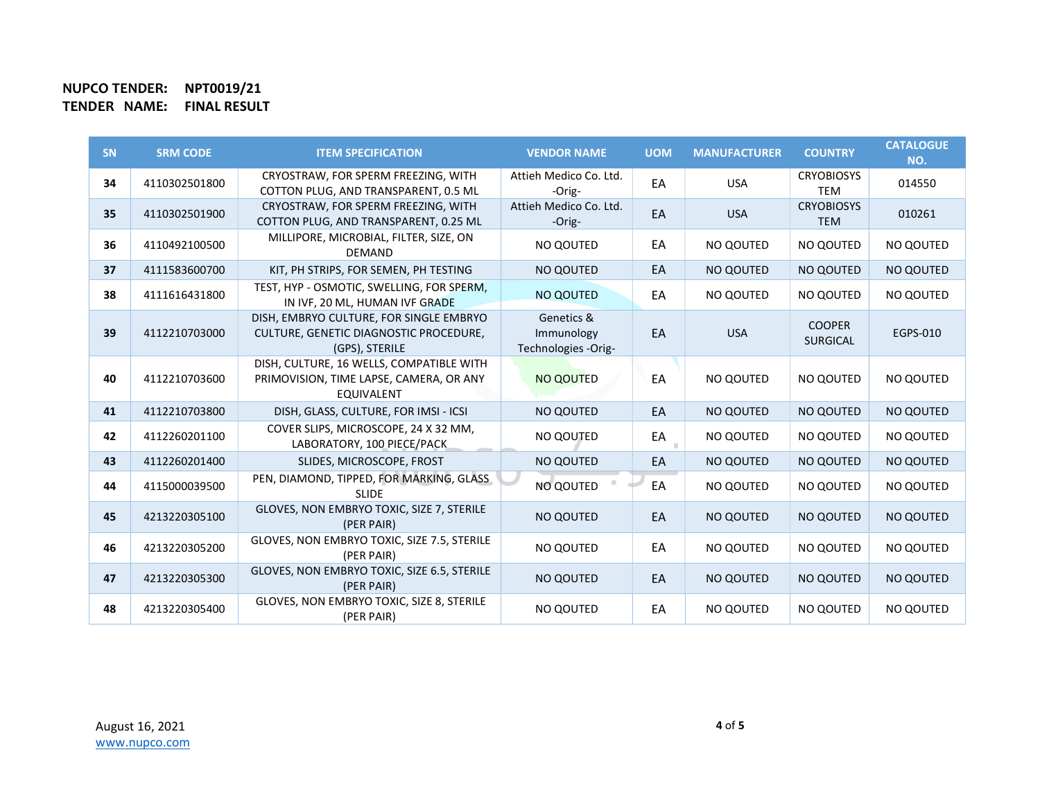| <b>SN</b> | <b>SRM CODE</b> | <b>ITEM SPECIFICATION</b>                                                                                | <b>VENDOR NAME</b>                              | <b>UOM</b> | <b>MANUFACTURER</b> | <b>COUNTRY</b>                   | <b>CATALOGUE</b><br>NO. |
|-----------|-----------------|----------------------------------------------------------------------------------------------------------|-------------------------------------------------|------------|---------------------|----------------------------------|-------------------------|
| 34        | 4110302501800   | CRYOSTRAW, FOR SPERM FREEZING, WITH<br>COTTON PLUG, AND TRANSPARENT, 0.5 ML                              | Attieh Medico Co. Ltd.<br>-Orig-                | EA         | <b>USA</b>          | <b>CRYOBIOSYS</b><br><b>TEM</b>  | 014550                  |
| 35        | 4110302501900   | CRYOSTRAW, FOR SPERM FREEZING, WITH<br>COTTON PLUG, AND TRANSPARENT, 0.25 ML                             | Attieh Medico Co. Ltd.<br>-Orig-                | EA         | <b>USA</b>          | <b>CRYOBIOSYS</b><br><b>TEM</b>  | 010261                  |
| 36        | 4110492100500   | MILLIPORE, MICROBIAL, FILTER, SIZE, ON<br><b>DEMAND</b>                                                  | NO QOUTED                                       | EA         | NO QOUTED           | NO QOUTED                        | NO QOUTED               |
| 37        | 4111583600700   | KIT, PH STRIPS, FOR SEMEN, PH TESTING                                                                    | NO QOUTED                                       | EA         | NO QOUTED           | NO QOUTED                        | <b>NO QOUTED</b>        |
| 38        | 4111616431800   | TEST, HYP - OSMOTIC, SWELLING, FOR SPERM,<br>IN IVF, 20 ML, HUMAN IVF GRADE                              | NO QOUTED                                       | EA         | NO QOUTED           | NO QOUTED                        | NO QOUTED               |
| 39        | 4112210703000   | DISH, EMBRYO CULTURE, FOR SINGLE EMBRYO<br>CULTURE, GENETIC DIAGNOSTIC PROCEDURE,<br>(GPS), STERILE      | Genetics &<br>Immunology<br>Technologies -Orig- | EA         | <b>USA</b>          | <b>COOPER</b><br><b>SURGICAL</b> | EGPS-010                |
| 40        | 4112210703600   | DISH, CULTURE, 16 WELLS, COMPATIBLE WITH<br>PRIMOVISION, TIME LAPSE, CAMERA, OR ANY<br><b>EQUIVALENT</b> | NO QOUTED                                       | EA         | NO QOUTED           | NO QOUTED                        | NO QOUTED               |
| 41        | 4112210703800   | DISH, GLASS, CULTURE, FOR IMSI - ICSI                                                                    | NO QOUTED                                       | EA         | NO QOUTED           | NO QOUTED                        | NO QOUTED               |
| 42        | 4112260201100   | COVER SLIPS, MICROSCOPE, 24 X 32 MM,<br>LABORATORY, 100 PIECE/PACK                                       | NO QOUTED                                       | EA         | NO QOUTED           | NO QOUTED                        | NO QOUTED               |
| 43        | 4112260201400   | SLIDES, MICROSCOPE, FROST                                                                                | NO QOUTED                                       | EA         | NO QOUTED           | NO QOUTED                        | NO QOUTED               |
| 44        | 4115000039500   | PEN, DIAMOND, TIPPED, FOR MARKING, GLASS<br><b>SLIDE</b>                                                 | NO QOUTED                                       | EA         | NO QOUTED           | NO QOUTED                        | NO QOUTED               |
| 45        | 4213220305100   | GLOVES, NON EMBRYO TOXIC, SIZE 7, STERILE<br>(PER PAIR)                                                  | NO QOUTED                                       | EA         | NO QOUTED           | NO QOUTED                        | <b>NO QOUTED</b>        |
| 46        | 4213220305200   | GLOVES, NON EMBRYO TOXIC, SIZE 7.5, STERILE<br>(PER PAIR)                                                | NO QOUTED                                       | EA         | NO QOUTED           | NO QOUTED                        | NO QOUTED               |
| 47        | 4213220305300   | GLOVES, NON EMBRYO TOXIC, SIZE 6.5, STERILE<br>(PER PAIR)                                                | NO QOUTED                                       | EA         | NO QOUTED           | NO QOUTED                        | <b>NO QOUTED</b>        |
| 48        | 4213220305400   | GLOVES, NON EMBRYO TOXIC, SIZE 8, STERILE<br>(PER PAIR)                                                  | NO QOUTED                                       | EA         | NO QOUTED           | NO QOUTED                        | NO QOUTED               |